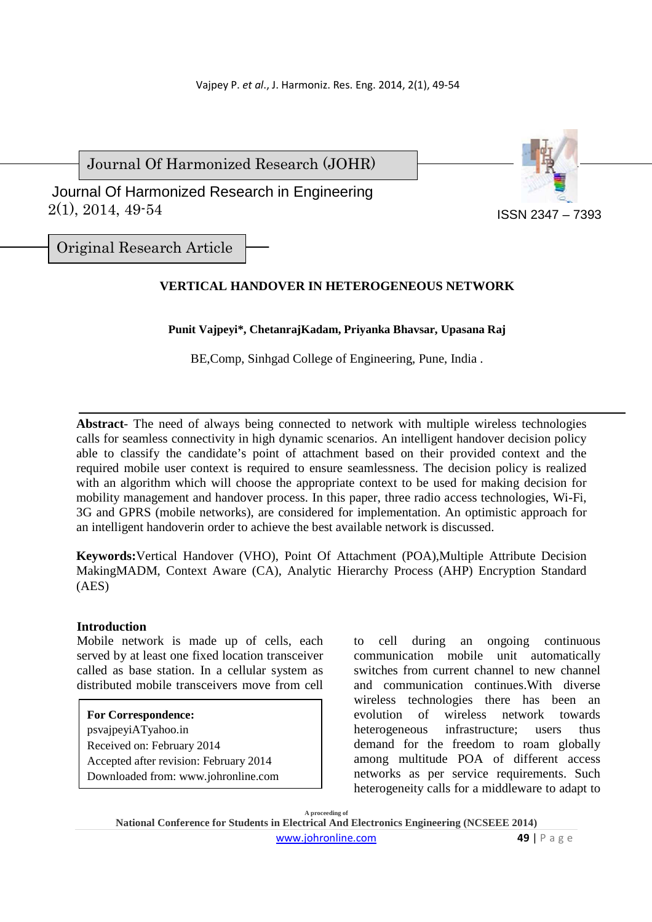Journal Of Harmonized Research (JOHR)

 2(1), 2014, 49-54 Journal Of Harmonized Research in Engineering



Original Research Article

# **VERTICAL HANDOVER IN HETEROGENEOUS NETWORK**

**Punit Vajpeyi\*, ChetanrajKadam, Priyanka Bhavsar, Upasana Raj** 

BE,Comp, Sinhgad College of Engineering, Pune, India .

**Abstract**- The need of always being connected to network with multiple wireless technologies calls for seamless connectivity in high dynamic scenarios. An intelligent handover decision policy able to classify the candidate's point of attachment based on their provided context and the required mobile user context is required to ensure seamlessness. The decision policy is realized with an algorithm which will choose the appropriate context to be used for making decision for mobility management and handover process. In this paper, three radio access technologies, Wi-Fi, 3G and GPRS (mobile networks), are considered for implementation. An optimistic approach for an intelligent handoverin order to achieve the best available network is discussed.

**Keywords:**Vertical Handover (VHO), Point Of Attachment (POA),Multiple Attribute Decision MakingMADM, Context Aware (CA), Analytic Hierarchy Process (AHP) Encryption Standard (AES)

## **Introduction**

Mobile network is made up of cells, each served by at least one fixed location transceiver called as base station. In a cellular system as distributed mobile transceivers move from cell

## **For Correspondence:**

psvajpeyiATyahoo.in Received on: February 2014 Accepted after revision: February 2014 Downloaded from: www.johronline.com to cell during an ongoing continuous communication mobile unit automatically switches from current channel to new channel and communication continues.With diverse wireless technologies there has been an evolution of wireless network towards heterogeneous infrastructure; users thus demand for the freedom to roam globally among multitude POA of different access networks as per service requirements. Such heterogeneity calls for a middleware to adapt to

**A proceeding of National Conference for Students in Electrical And Electronics Engineering (NCSEEE 2014)**  www.johronline.com **49** | P a g e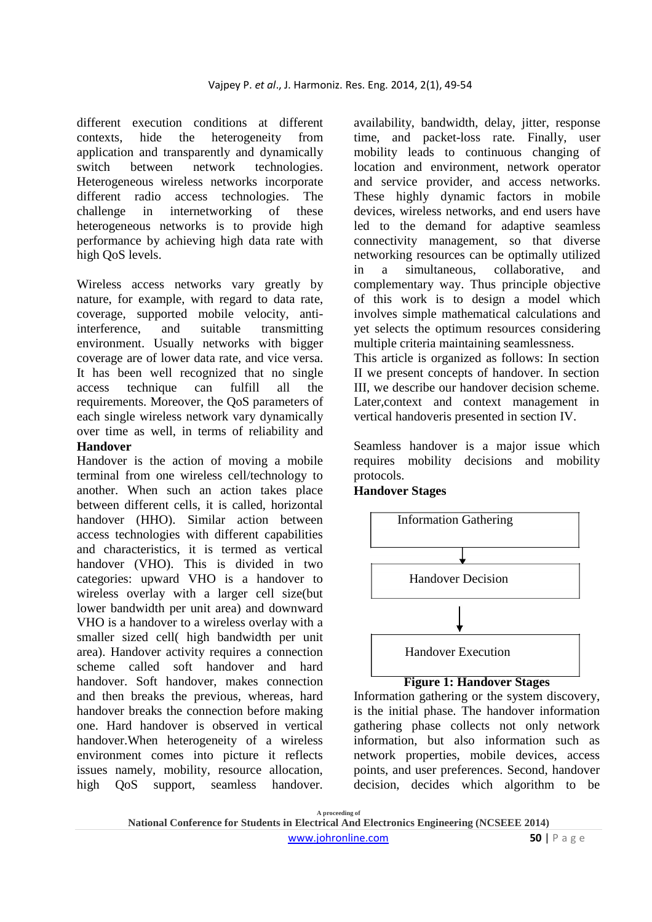different execution conditions at different contexts, hide the heterogeneity from application and transparently and dynamically switch between network technologies. Heterogeneous wireless networks incorporate different radio access technologies. The challenge in internetworking of these heterogeneous networks is to provide high performance by achieving high data rate with high QoS levels.

Wireless access networks vary greatly by nature, for example, with regard to data rate, coverage, supported mobile velocity, antiinterference, and suitable transmitting environment. Usually networks with bigger coverage are of lower data rate, and vice versa. It has been well recognized that no single access technique can fulfill all the requirements. Moreover, the QoS parameters of each single wireless network vary dynamically over time as well, in terms of reliability and **Handover** 

# Handover is the action of moving a mobile terminal from one wireless cell/technology to another. When such an action takes place between different cells, it is called, horizontal handover (HHO). Similar action between access technologies with different capabilities and characteristics, it is termed as vertical handover (VHO). This is divided in two categories: upward VHO is a handover to wireless overlay with a larger cell size(but lower bandwidth per unit area) and downward VHO is a handover to a wireless overlay with a smaller sized cell( high bandwidth per unit area). Handover activity requires a connection scheme called soft handover and hard handover. Soft handover, makes connection and then breaks the previous, whereas, hard handover breaks the connection before making one. Hard handover is observed in vertical handover.When heterogeneity of a wireless environment comes into picture it reflects issues namely, mobility, resource allocation, high QoS support, seamless handover.

availability, bandwidth, delay, jitter, response time, and packet-loss rate. Finally, user mobility leads to continuous changing of location and environment, network operator and service provider, and access networks. These highly dynamic factors in mobile devices, wireless networks, and end users have led to the demand for adaptive seamless connectivity management, so that diverse networking resources can be optimally utilized in a simultaneous, collaborative, and complementary way. Thus principle objective of this work is to design a model which involves simple mathematical calculations and yet selects the optimum resources considering multiple criteria maintaining seamlessness. This article is organized as follows: In section II we present concepts of handover. In section

III, we describe our handover decision scheme. Later,context and context management in vertical handoveris presented in section IV.

Seamless handover is a major issue which requires mobility decisions and mobility protocols.

## **Handover Stages**



#### **Figure 1: Handover Stages**

Information gathering or the system discovery, is the initial phase. The handover information gathering phase collects not only network information, but also information such as network properties, mobile devices, access points, and user preferences. Second, handover decision, decides which algorithm to be

**A proceeding of**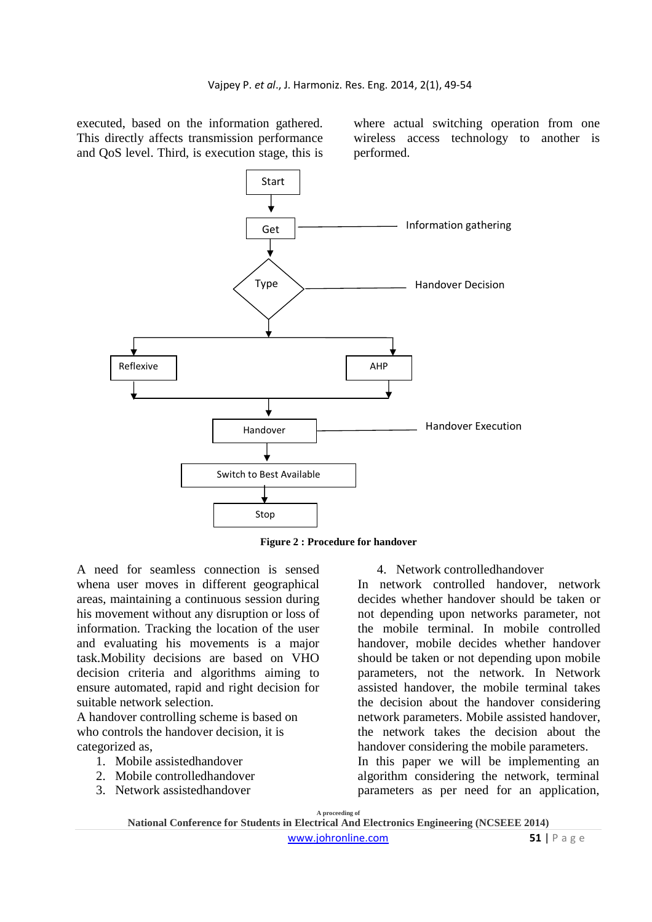executed, based on the information gathered. This directly affects transmission performance and QoS level. Third, is execution stage, this is

where actual switching operation from one wireless access technology to another is performed.



**Figure 2 : Procedure for handover**

A need for seamless connection is sensed whena user moves in different geographical areas, maintaining a continuous session during his movement without any disruption or loss of information. Tracking the location of the user and evaluating his movements is a major task.Mobility decisions are based on VHO decision criteria and algorithms aiming to ensure automated, rapid and right decision for suitable network selection.

A handover controlling scheme is based on who controls the handover decision, it is categorized as,

- 1. Mobile assistedhandover
- 2. Mobile controlledhandover
- 3. Network assistedhandover

4. Network controlledhandover

In network controlled handover, network decides whether handover should be taken or not depending upon networks parameter, not the mobile terminal. In mobile controlled handover, mobile decides whether handover should be taken or not depending upon mobile parameters, not the network. In Network assisted handover, the mobile terminal takes the decision about the handover considering network parameters. Mobile assisted handover, the network takes the decision about the handover considering the mobile parameters.

In this paper we will be implementing an algorithm considering the network, terminal parameters as per need for an application,

**A proceeding of** 

**National Conference for Students in Electrical And Electronics Engineering (NCSEEE 2014)**  www.johronline.com **51** | P a g e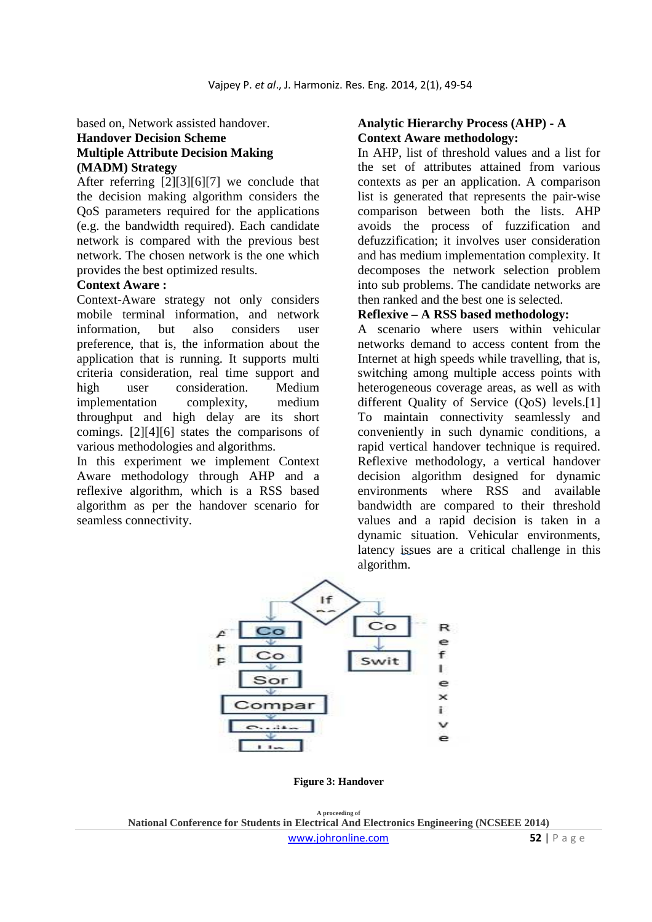based on, Network assisted handover.

# **Handover Decision Scheme Multiple Attribute Decision Making (MADM) Strategy**

After referring [2][3][6][7] we conclude that the decision making algorithm considers the QoS parameters required for the applications (e.g. the bandwidth required). Each candidate network is compared with the previous best network. The chosen network is the one which provides the best optimized results.

#### **Context Aware :**

Context-Aware strategy not only considers mobile terminal information, and network information, but also considers user preference, that is, the information about the application that is running. It supports multi criteria consideration, real time support and high user consideration. Medium implementation complexity, medium throughput and high delay are its short comings. [2][4][6] states the comparisons of various methodologies and algorithms.

In this experiment we implement Context Aware methodology through AHP and a reflexive algorithm, which is a RSS based algorithm as per the handover scenario for seamless connectivity.

#### **Analytic Hierarchy Process (AHP) - A Context Aware methodology:**

In AHP, list of threshold values and a list for the set of attributes attained from various contexts as per an application. A comparison list is generated that represents the pair-wise comparison between both the lists. AHP avoids the process of fuzzification and defuzzification; it involves user consideration and has medium implementation complexity. It decomposes the network selection problem into sub problems. The candidate networks are then ranked and the best one is selected.

#### **Reflexive – A RSS based methodology:**

A scenario where users within vehicular networks demand to access content from the Internet at high speeds while travelling, that is, switching among multiple access points with heterogeneous coverage areas, as well as with different Quality of Service (QoS) levels.<sup>[1]</sup> To maintain connectivity seamlessly and conveniently in such dynamic conditions, a rapid vertical handover technique is required. Reflexive methodology, a vertical handover decision algorithm designed for dynamic environments where RSS and available bandwidth are compared to their threshold values and a rapid decision is taken in a dynamic situation. Vehicular environments, latency issues are a critical challenge in this algorithm.



**Figure 3: Handover**

**A proceeding of National Conference for Students in Electrical And Electronics Engineering (NCSEEE 2014)**  www.johronline.com **52** | P a g e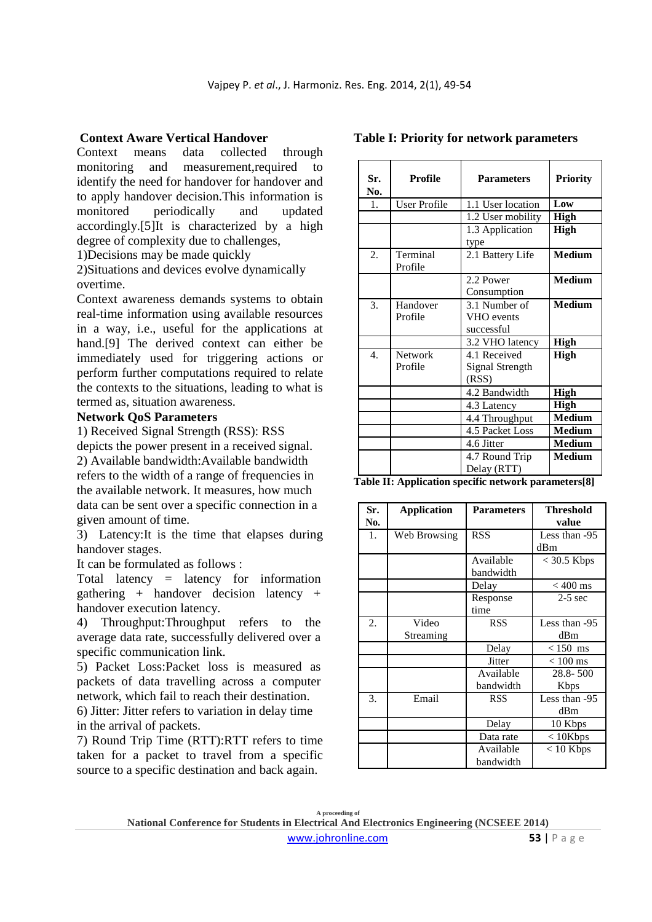### **Context Aware Vertical Handover**

Context means data collected through monitoring and measurement,required to identify the need for handover for handover and to apply handover decision.This information is monitored periodically and updated accordingly.[5]It is characterized by a high degree of complexity due to challenges,

1)Decisions may be made quickly

2)Situations and devices evolve dynamically overtime.

Context awareness demands systems to obtain real-time information using available resources in a way, i.e., useful for the applications at hand.<sup>[9]</sup> The derived context can either be immediately used for triggering actions or perform further computations required to relate the contexts to the situations, leading to what is termed as, situation awareness.

### **Network QoS Parameters**

1) Received Signal Strength (RSS): RSS depicts the power present in a received signal. 2) Available bandwidth:Available bandwidth refers to the width of a range of frequencies in the available network. It measures, how much data can be sent over a specific connection in a given amount of time.

3) Latency:It is the time that elapses during handover stages.

It can be formulated as follows :

Total latency = latency for information gathering + handover decision latency + handover execution latency.

4) Throughput:Throughput refers to the average data rate, successfully delivered over a specific communication link.

5) Packet Loss:Packet loss is measured as packets of data travelling across a computer network, which fail to reach their destination.

6) Jitter: Jitter refers to variation in delay time in the arrival of packets.

7) Round Trip Time (RTT):RTT refers to time taken for a packet to travel from a specific source to a specific destination and back again.

| Sr.<br>No.       | <b>Profile</b>            | <b>Parameters</b>                               | <b>Priority</b> |
|------------------|---------------------------|-------------------------------------------------|-----------------|
| 1.               | <b>User Profile</b>       | 1.1 User location<br>Low                        |                 |
|                  |                           | 1.2 User mobility<br>High                       |                 |
|                  |                           | 1.3 Application                                 | <b>High</b>     |
| 2.               | Terminal<br>Profile       | type<br>2.1 Battery Life                        | <b>Medium</b>   |
|                  |                           | $2.2$ Power<br>Consumption                      | <b>Medium</b>   |
| 3.               | Handover<br>Profile       | 3.1 Number of<br>VHO events<br>successful       | <b>Medium</b>   |
|                  |                           | 3.2 VHO latency                                 | <b>High</b>     |
| $\overline{4}$ . | <b>Network</b><br>Profile | 4.1 Received<br><b>Signal Strength</b><br>(RSS) | High            |
|                  |                           | 4.2 Bandwidth                                   | <b>High</b>     |
|                  |                           | 4.3 Latency                                     | <b>High</b>     |
|                  |                           | 4.4 Throughput                                  | <b>Medium</b>   |
|                  |                           | 4.5 Packet Loss                                 | <b>Medium</b>   |
|                  |                           | 4.6 Jitter                                      | <b>Medium</b>   |
|                  |                           | 4.7 Round Trip<br>Delay (RTT)                   | <b>Medium</b>   |

**Table I: Priority for network parameters** 

**Table II: Application specific network parameters[8]** 

| Sr. | <b>Application</b> | <b>Parameters</b> | <b>Threshold</b>    |
|-----|--------------------|-------------------|---------------------|
| No. |                    |                   | value               |
| 1.  | Web Browsing       | <b>RSS</b>        | Less than -95       |
|     |                    |                   | dBm                 |
|     |                    | Available         | $<$ 30.5 Kbps       |
|     |                    | bandwidth         |                     |
|     |                    | Delay             | $< 400$ ms          |
|     |                    | Response          | $2-5$ sec           |
|     |                    | time              |                     |
| 2.  | Video              | <b>RSS</b>        | Less than -95       |
|     | Streaming          |                   | dBm                 |
|     |                    | Delay             | $< 150$ ms          |
|     |                    | Jitter            | $<100\ \mathrm{ms}$ |
|     |                    | Available         | $28.8 - 500$        |
|     |                    | bandwidth         | Kbps                |
| 3.  | Email              | <b>RSS</b>        | Less than -95       |
|     |                    |                   | dBm                 |
|     |                    | Delay             | 10 Kbps             |
|     |                    | Data rate         | $< 10$ Kbps         |
|     |                    | Available         | $< 10$ Kbps         |
|     |                    | bandwidth         |                     |